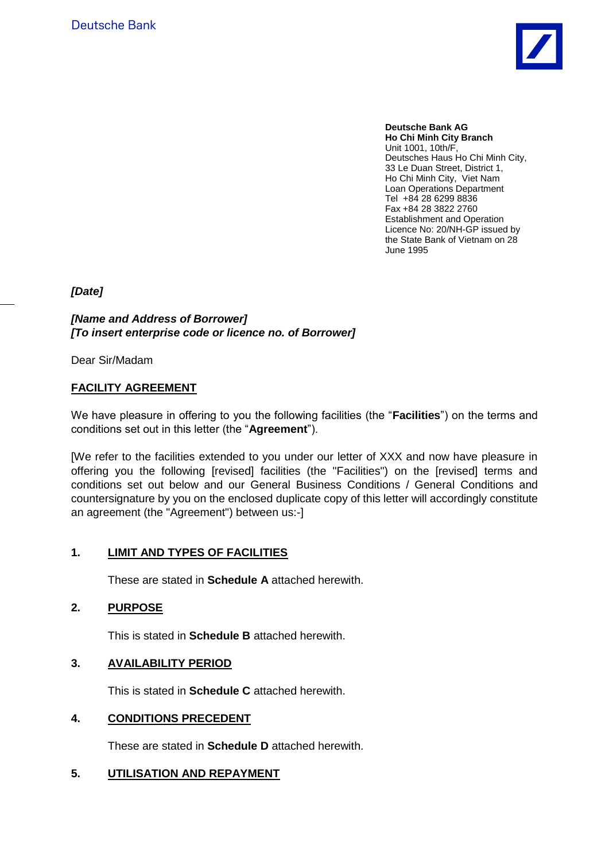

**Deutsche Bank AG Ho Chi Minh City Branch** Unit 1001, 10th/F, Deutsches Haus Ho Chi Minh City, 33 Le Duan Street, District 1, Ho Chi Minh City, Viet Nam Loan Operations Department Tel +84 28 6299 8836 Fax +84 28 3822 2760 Establishment and Operation Licence No: 20/NH-GP issued by the State Bank of Vietnam on 28 June 1995

*[Date]*

*[Name and Address of Borrower] [To insert enterprise code or licence no. of Borrower]*

Dear Sir/Madam

#### **FACILITY AGREEMENT**

We have pleasure in offering to you the following facilities (the "**Facilities**") on the terms and conditions set out in this letter (the "**Agreement**").

[We refer to the facilities extended to you under our letter of XXX and now have pleasure in offering you the following [revised] facilities (the "Facilities") on the [revised] terms and conditions set out below and our General Business Conditions / General Conditions and countersignature by you on the enclosed duplicate copy of this letter will accordingly constitute an agreement (the "Agreement") between us:-]

#### **1. LIMIT AND TYPES OF FACILITIES**

These are stated in **Schedule A** attached herewith.

#### **2. PURPOSE**

This is stated in **Schedule B** attached herewith.

#### **3. AVAILABILITY PERIOD**

This is stated in **Schedule C** attached herewith.

#### **4. CONDITIONS PRECEDENT**

These are stated in **Schedule D** attached herewith.

#### **5. UTILISATION AND REPAYMENT**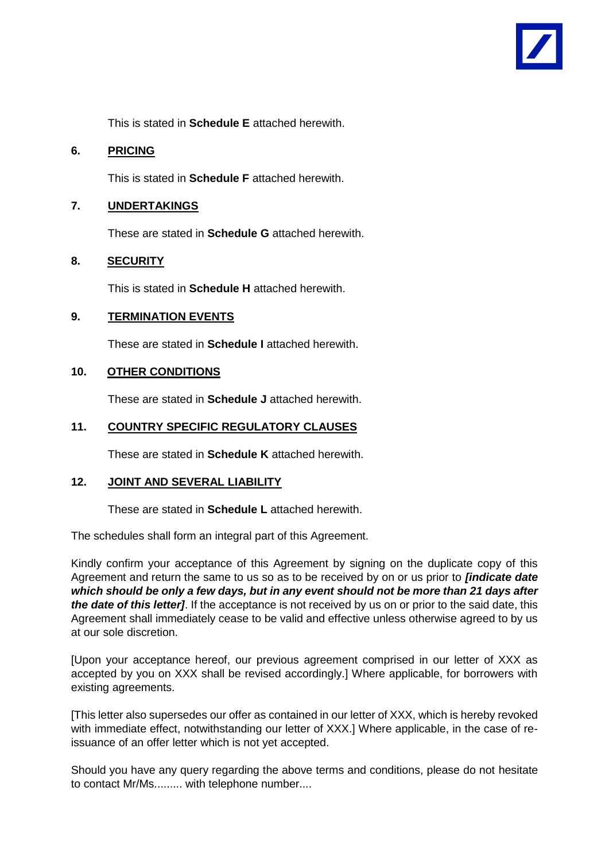

This is stated in **Schedule E** attached herewith.

#### **6. PRICING**

This is stated in **Schedule F** attached herewith.

### **7. UNDERTAKINGS**

These are stated in **Schedule G** attached herewith.

#### **8. SECURITY**

This is stated in **Schedule H** attached herewith.

#### **9. TERMINATION EVENTS**

These are stated in **Schedule I** attached herewith.

#### **10. OTHER CONDITIONS**

These are stated in **Schedule J** attached herewith.

#### **11. COUNTRY SPECIFIC REGULATORY CLAUSES**

These are stated in **Schedule K** attached herewith.

#### **12. JOINT AND SEVERAL LIABILITY**

These are stated in **Schedule L** attached herewith.

The schedules shall form an integral part of this Agreement.

Kindly confirm your acceptance of this Agreement by signing on the duplicate copy of this Agreement and return the same to us so as to be received by on or us prior to *[indicate date which should be only a few days, but in any event should not be more than 21 days after the date of this letter]*. If the acceptance is not received by us on or prior to the said date, this Agreement shall immediately cease to be valid and effective unless otherwise agreed to by us at our sole discretion.

[Upon your acceptance hereof, our previous agreement comprised in our letter of XXX as accepted by you on XXX shall be revised accordingly.] Where applicable, for borrowers with existing agreements.

[This letter also supersedes our offer as contained in our letter of XXX, which is hereby revoked with immediate effect, notwithstanding our letter of XXX.] Where applicable, in the case of reissuance of an offer letter which is not yet accepted.

Should you have any query regarding the above terms and conditions, please do not hesitate to contact Mr/Ms......... with telephone number....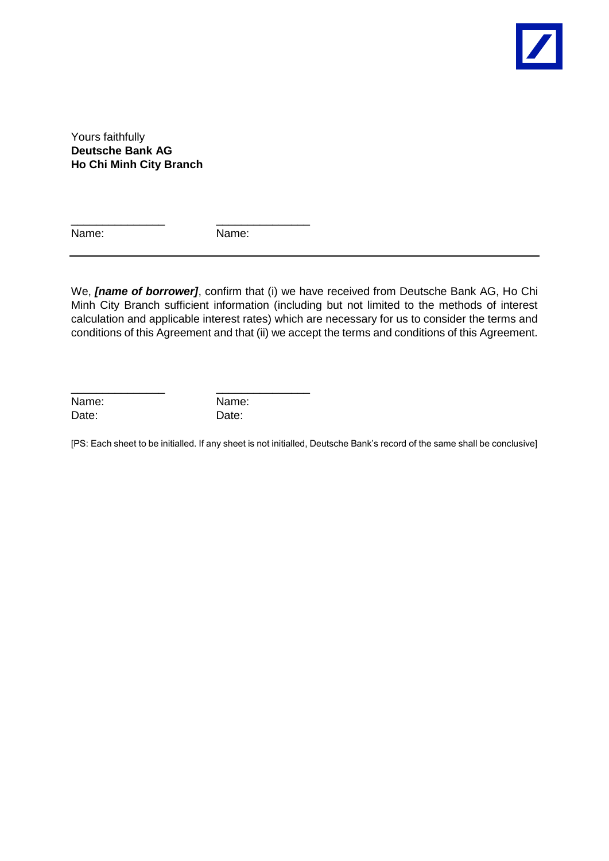

Yours faithfully **Deutsche Bank AG Ho Chi Minh City Branch**

Name: Name:

\_\_\_\_\_\_\_\_\_\_\_\_\_\_\_ \_\_\_\_\_\_\_\_\_\_\_\_\_\_\_

\_\_\_\_\_\_\_\_\_\_\_\_\_\_\_ \_\_\_\_\_\_\_\_\_\_\_\_\_\_\_

We, *[name of borrower]*, confirm that (i) we have received from Deutsche Bank AG, Ho Chi Minh City Branch sufficient information (including but not limited to the methods of interest calculation and applicable interest rates) which are necessary for us to consider the terms and conditions of this Agreement and that (ii) we accept the terms and conditions of this Agreement.

Name: Name: Date: Date:

[PS: Each sheet to be initialled. If any sheet is not initialled, Deutsche Bank's record of the same shall be conclusive]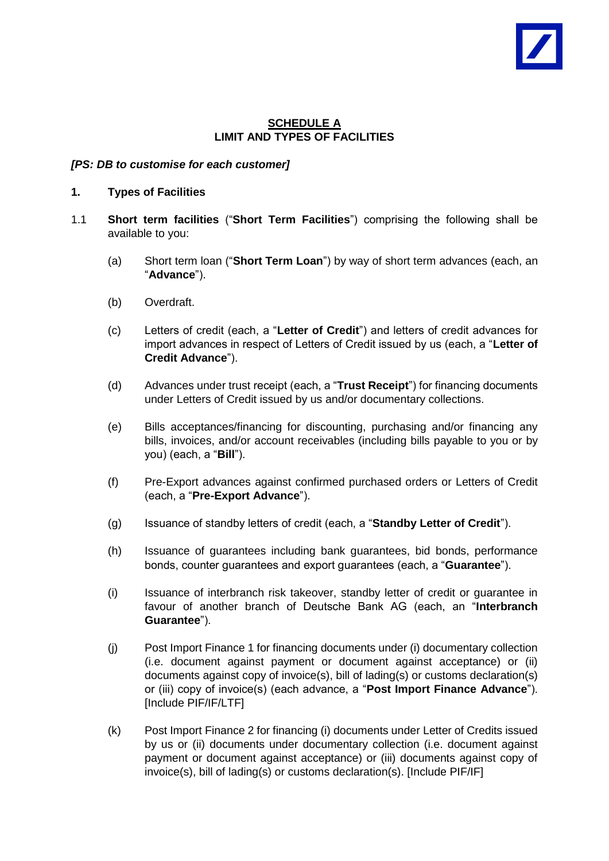### **SCHEDULE A LIMIT AND TYPES OF FACILITIES**

## *[PS: DB to customise for each customer]*

- **1. Types of Facilities**
- 1.1 **Short term facilities** ("**Short Term Facilities**") comprising the following shall be available to you:
	- (a) Short term loan ("**Short Term Loan**") by way of short term advances (each, an "**Advance**").
	- (b) Overdraft.
	- (c) Letters of credit (each, a "**Letter of Credit**") and letters of credit advances for import advances in respect of Letters of Credit issued by us (each, a "**Letter of Credit Advance**").
	- (d) Advances under trust receipt (each, a "**Trust Receipt**") for financing documents under Letters of Credit issued by us and/or documentary collections.
	- (e) Bills acceptances/financing for discounting, purchasing and/or financing any bills, invoices, and/or account receivables (including bills payable to you or by you) (each, a "**Bill**").
	- (f) Pre-Export advances against confirmed purchased orders or Letters of Credit (each, a "**Pre-Export Advance**").
	- (g) Issuance of standby letters of credit (each, a "**Standby Letter of Credit**").
	- (h) Issuance of guarantees including bank guarantees, bid bonds, performance bonds, counter guarantees and export guarantees (each, a "**Guarantee**").
	- (i) Issuance of interbranch risk takeover, standby letter of credit or guarantee in favour of another branch of Deutsche Bank AG (each, an "**Interbranch Guarantee**").
	- (j) Post Import Finance 1 for financing documents under (i) documentary collection (i.e. document against payment or document against acceptance) or (ii) documents against copy of invoice(s), bill of lading(s) or customs declaration(s) or (iii) copy of invoice(s) (each advance, a "**Post Import Finance Advance**"). [Include PIF/IF/LTF]
	- (k) Post Import Finance 2 for financing (i) documents under Letter of Credits issued by us or (ii) documents under documentary collection (i.e. document against payment or document against acceptance) or (iii) documents against copy of invoice(s), bill of lading(s) or customs declaration(s). [Include PIF/IF]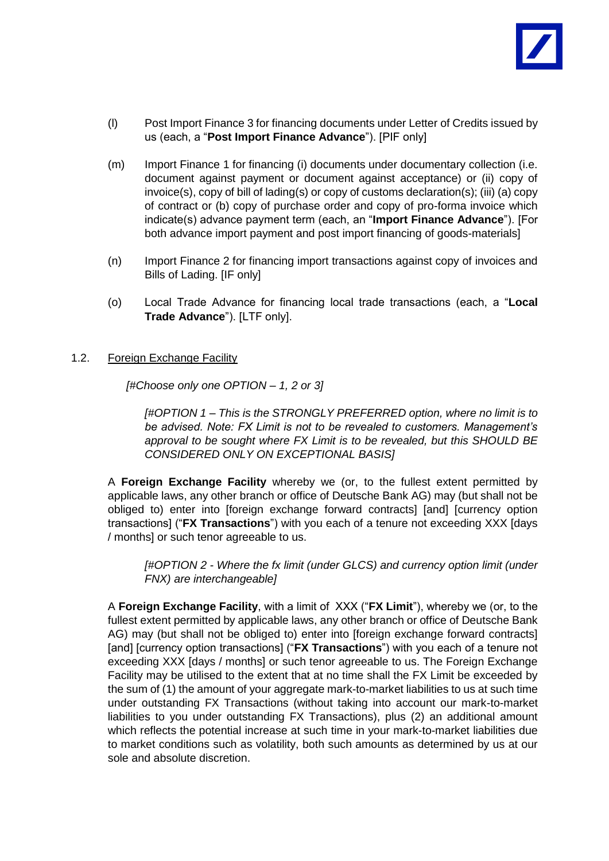

- (l) Post Import Finance 3 for financing documents under Letter of Credits issued by us (each, a "**Post Import Finance Advance**"). [PIF only]
- (m) Import Finance 1 for financing (i) documents under documentary collection (i.e. document against payment or document against acceptance) or (ii) copy of invoice(s), copy of bill of lading(s) or copy of customs declaration(s); (iii) (a) copy of contract or (b) copy of purchase order and copy of pro-forma invoice which indicate(s) advance payment term (each, an "**Import Finance Advance**"). [For both advance import payment and post import financing of goods-materials]
- (n) Import Finance 2 for financing import transactions against copy of invoices and Bills of Lading. [IF only]
- (o) Local Trade Advance for financing local trade transactions (each, a "**Local Trade Advance**"). [LTF only].

#### 1.2. Foreign Exchange Facility

*[#Choose only one OPTION – 1, 2 or 3]*

*[#OPTION 1 – This is the STRONGLY PREFERRED option, where no limit is to be advised. Note: FX Limit is not to be revealed to customers. Management's approval to be sought where FX Limit is to be revealed, but this SHOULD BE CONSIDERED ONLY ON EXCEPTIONAL BASIS]*

A **Foreign Exchange Facility** whereby we (or, to the fullest extent permitted by applicable laws, any other branch or office of Deutsche Bank AG) may (but shall not be obliged to) enter into [foreign exchange forward contracts] [and] [currency option transactions] ("**FX Transactions**") with you each of a tenure not exceeding XXX [days / months] or such tenor agreeable to us.

*[#OPTION 2 - Where the fx limit (under GLCS) and currency option limit (under FNX) are interchangeable]*

A **Foreign Exchange Facility**, with a limit of XXX ("**FX Limit**"), whereby we (or, to the fullest extent permitted by applicable laws, any other branch or office of Deutsche Bank AG) may (but shall not be obliged to) enter into [foreign exchange forward contracts] [and] [currency option transactions] ("**FX Transactions**") with you each of a tenure not exceeding XXX [days / months] or such tenor agreeable to us. The Foreign Exchange Facility may be utilised to the extent that at no time shall the FX Limit be exceeded by the sum of (1) the amount of your aggregate mark-to-market liabilities to us at such time under outstanding FX Transactions (without taking into account our mark-to-market liabilities to you under outstanding FX Transactions), plus (2) an additional amount which reflects the potential increase at such time in your mark-to-market liabilities due to market conditions such as volatility, both such amounts as determined by us at our sole and absolute discretion.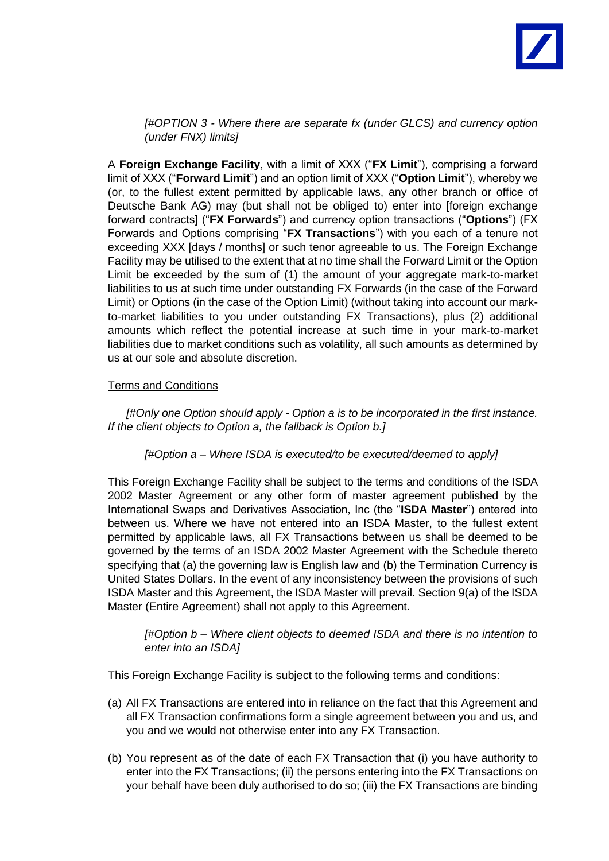

*[#OPTION 3 - Where there are separate fx (under GLCS) and currency option (under FNX) limits]*

A **Foreign Exchange Facility**, with a limit of XXX ("**FX Limit**"), comprising a forward limit of XXX ("**Forward Limit**") and an option limit of XXX ("**Option Limit**"), whereby we (or, to the fullest extent permitted by applicable laws, any other branch or office of Deutsche Bank AG) may (but shall not be obliged to) enter into [foreign exchange forward contracts] ("**FX Forwards**") and currency option transactions ("**Options**") (FX Forwards and Options comprising "**FX Transactions**") with you each of a tenure not exceeding XXX [days / months] or such tenor agreeable to us. The Foreign Exchange Facility may be utilised to the extent that at no time shall the Forward Limit or the Option Limit be exceeded by the sum of (1) the amount of your aggregate mark-to-market liabilities to us at such time under outstanding FX Forwards (in the case of the Forward Limit) or Options (in the case of the Option Limit) (without taking into account our markto-market liabilities to you under outstanding FX Transactions), plus (2) additional amounts which reflect the potential increase at such time in your mark-to-market liabilities due to market conditions such as volatility, all such amounts as determined by us at our sole and absolute discretion.

#### Terms and Conditions

*[#Only one Option should apply - Option a is to be incorporated in the first instance. If the client objects to Option a, the fallback is Option b.]*

#### *[#Option a – Where ISDA is executed/to be executed/deemed to apply]*

This Foreign Exchange Facility shall be subject to the terms and conditions of the ISDA 2002 Master Agreement or any other form of master agreement published by the International Swaps and Derivatives Association, Inc (the "**ISDA Master**") entered into between us. Where we have not entered into an ISDA Master, to the fullest extent permitted by applicable laws, all FX Transactions between us shall be deemed to be governed by the terms of an ISDA 2002 Master Agreement with the Schedule thereto specifying that (a) the governing law is English law and (b) the Termination Currency is United States Dollars. In the event of any inconsistency between the provisions of such ISDA Master and this Agreement, the ISDA Master will prevail. Section 9(a) of the ISDA Master (Entire Agreement) shall not apply to this Agreement.

*[#Option b – Where client objects to deemed ISDA and there is no intention to enter into an ISDA]*

This Foreign Exchange Facility is subject to the following terms and conditions:

- (a) All FX Transactions are entered into in reliance on the fact that this Agreement and all FX Transaction confirmations form a single agreement between you and us, and you and we would not otherwise enter into any FX Transaction.
- (b) You represent as of the date of each FX Transaction that (i) you have authority to enter into the FX Transactions; (ii) the persons entering into the FX Transactions on your behalf have been duly authorised to do so; (iii) the FX Transactions are binding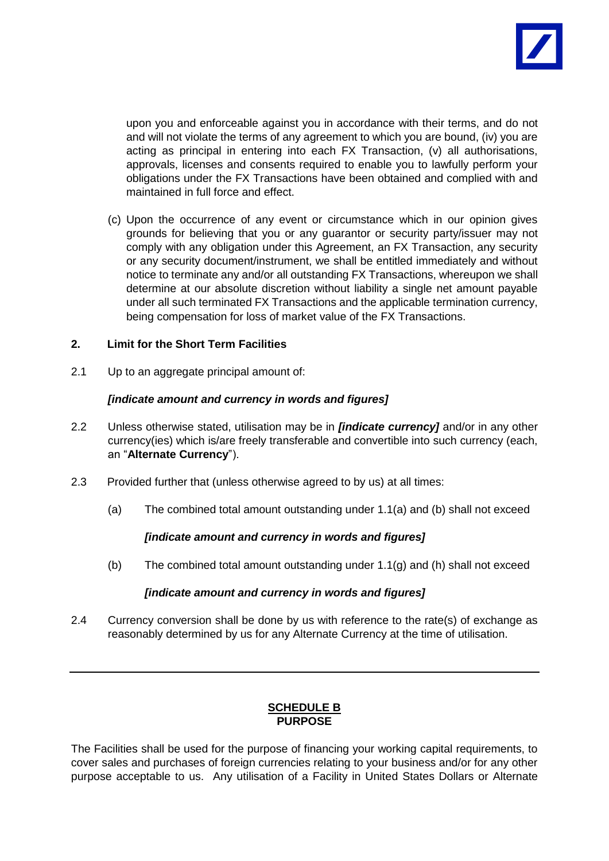

upon you and enforceable against you in accordance with their terms, and do not and will not violate the terms of any agreement to which you are bound, (iv) you are acting as principal in entering into each FX Transaction, (v) all authorisations, approvals, licenses and consents required to enable you to lawfully perform your obligations under the FX Transactions have been obtained and complied with and maintained in full force and effect.

(c) Upon the occurrence of any event or circumstance which in our opinion gives grounds for believing that you or any guarantor or security party/issuer may not comply with any obligation under this Agreement, an FX Transaction, any security or any security document/instrument, we shall be entitled immediately and without notice to terminate any and/or all outstanding FX Transactions, whereupon we shall determine at our absolute discretion without liability a single net amount payable under all such terminated FX Transactions and the applicable termination currency, being compensation for loss of market value of the FX Transactions.

### **2. Limit for the Short Term Facilities**

2.1 Up to an aggregate principal amount of:

### *[indicate amount and currency in words and figures]*

- 2.2 Unless otherwise stated, utilisation may be in *[indicate currency]* and/or in any other currency(ies) which is/are freely transferable and convertible into such currency (each, an "**Alternate Currency**").
- 2.3 Provided further that (unless otherwise agreed to by us) at all times:
	- (a) The combined total amount outstanding under 1.1(a) and (b) shall not exceed

# *[indicate amount and currency in words and figures]*

(b) The combined total amount outstanding under  $1.1(q)$  and (h) shall not exceed

#### *[indicate amount and currency in words and figures]*

2.4 Currency conversion shall be done by us with reference to the rate(s) of exchange as reasonably determined by us for any Alternate Currency at the time of utilisation.

# **SCHEDULE B PURPOSE**

The Facilities shall be used for the purpose of financing your working capital requirements, to cover sales and purchases of foreign currencies relating to your business and/or for any other purpose acceptable to us. Any utilisation of a Facility in United States Dollars or Alternate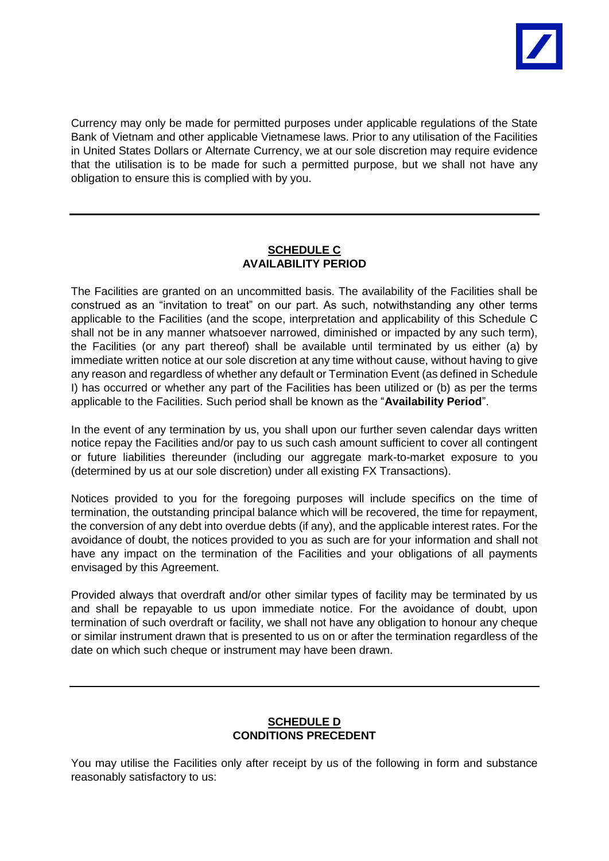

Currency may only be made for permitted purposes under applicable regulations of the State Bank of Vietnam and other applicable Vietnamese laws. Prior to any utilisation of the Facilities in United States Dollars or Alternate Currency, we at our sole discretion may require evidence that the utilisation is to be made for such a permitted purpose, but we shall not have any obligation to ensure this is complied with by you.

### **SCHEDULE C AVAILABILITY PERIOD**

The Facilities are granted on an uncommitted basis. The availability of the Facilities shall be construed as an "invitation to treat" on our part. As such, notwithstanding any other terms applicable to the Facilities (and the scope, interpretation and applicability of this Schedule C shall not be in any manner whatsoever narrowed, diminished or impacted by any such term), the Facilities (or any part thereof) shall be available until terminated by us either (a) by immediate written notice at our sole discretion at any time without cause, without having to give any reason and regardless of whether any default or Termination Event (as defined in Schedule I) has occurred or whether any part of the Facilities has been utilized or (b) as per the terms applicable to the Facilities. Such period shall be known as the "**Availability Period**".

In the event of any termination by us, you shall upon our further seven calendar days written notice repay the Facilities and/or pay to us such cash amount sufficient to cover all contingent or future liabilities thereunder (including our aggregate mark-to-market exposure to you (determined by us at our sole discretion) under all existing FX Transactions).

Notices provided to you for the foregoing purposes will include specifics on the time of termination, the outstanding principal balance which will be recovered, the time for repayment, the conversion of any debt into overdue debts (if any), and the applicable interest rates. For the avoidance of doubt, the notices provided to you as such are for your information and shall not have any impact on the termination of the Facilities and your obligations of all payments envisaged by this Agreement.

Provided always that overdraft and/or other similar types of facility may be terminated by us and shall be repayable to us upon immediate notice. For the avoidance of doubt, upon termination of such overdraft or facility, we shall not have any obligation to honour any cheque or similar instrument drawn that is presented to us on or after the termination regardless of the date on which such cheque or instrument may have been drawn.

### **SCHEDULE D CONDITIONS PRECEDENT**

You may utilise the Facilities only after receipt by us of the following in form and substance reasonably satisfactory to us: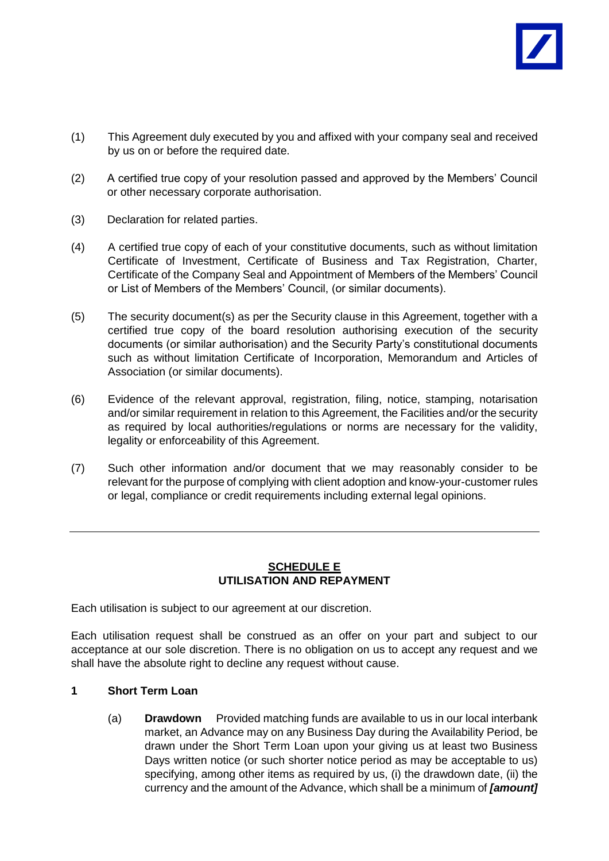

- (1) This Agreement duly executed by you and affixed with your company seal and received by us on or before the required date.
- (2) A certified true copy of your resolution passed and approved by the Members' Council or other necessary corporate authorisation.
- (3) Declaration for related parties.
- (4) A certified true copy of each of your constitutive documents, such as without limitation Certificate of Investment, Certificate of Business and Tax Registration, Charter, Certificate of the Company Seal and Appointment of Members of the Members' Council or List of Members of the Members' Council, (or similar documents).
- (5) The security document(s) as per the Security clause in this Agreement, together with a certified true copy of the board resolution authorising execution of the security documents (or similar authorisation) and the Security Party's constitutional documents such as without limitation Certificate of Incorporation, Memorandum and Articles of Association (or similar documents).
- (6) Evidence of the relevant approval, registration, filing, notice, stamping, notarisation and/or similar requirement in relation to this Agreement, the Facilities and/or the security as required by local authorities/regulations or norms are necessary for the validity, legality or enforceability of this Agreement.
- (7) Such other information and/or document that we may reasonably consider to be relevant for the purpose of complying with client adoption and know-your-customer rules or legal, compliance or credit requirements including external legal opinions.

# **SCHEDULE E UTILISATION AND REPAYMENT**

Each utilisation is subject to our agreement at our discretion.

Each utilisation request shall be construed as an offer on your part and subject to our acceptance at our sole discretion. There is no obligation on us to accept any request and we shall have the absolute right to decline any request without cause.

#### **1 Short Term Loan**

(a) **Drawdown** Provided matching funds are available to us in our local interbank market, an Advance may on any Business Day during the Availability Period, be drawn under the Short Term Loan upon your giving us at least two Business Days written notice (or such shorter notice period as may be acceptable to us) specifying, among other items as required by us, (i) the drawdown date, (ii) the currency and the amount of the Advance, which shall be a minimum of *[amount]*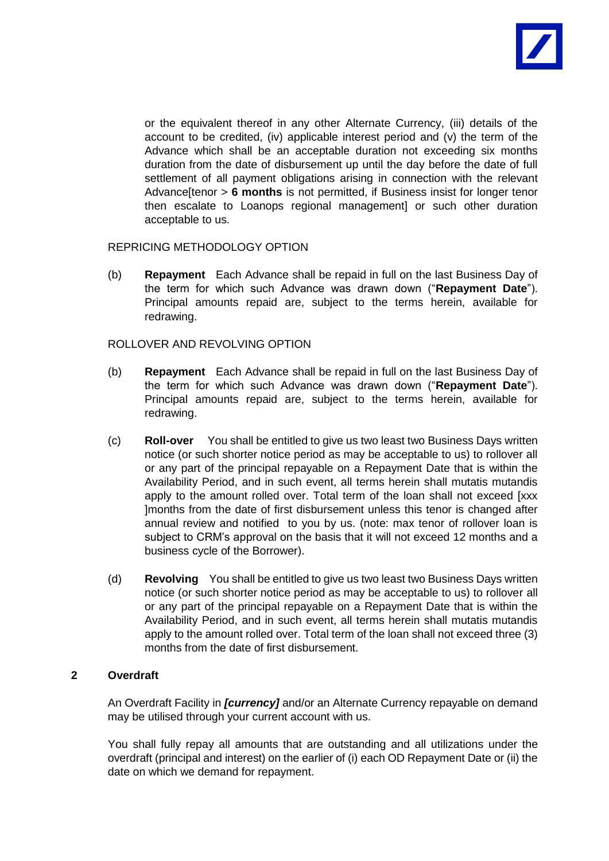

or the equivalent thereof in any other Alternate Currency, (iii) details of the account to be credited, (iv) applicable interest period and (v) the term of the Advance which shall be an acceptable duration not exceeding six months duration from the date of disbursement up until the day before the date of full settlement of all payment obligations arising in connection with the relevant Advance[tenor > **6 months** is not permitted, if Business insist for longer tenor then escalate to Loanops regional management] or such other duration acceptable to us.

REPRICING METHODOLOGY OPTION

(b) **Repayment** Each Advance shall be repaid in full on the last Business Day of the term for which such Advance was drawn down ("**Repayment Date**"). Principal amounts repaid are, subject to the terms herein, available for redrawing.

### ROLLOVER AND REVOLVING OPTION

- (b) **Repayment** Each Advance shall be repaid in full on the last Business Day of the term for which such Advance was drawn down ("**Repayment Date**"). Principal amounts repaid are, subject to the terms herein, available for redrawing.
- (c) **Roll-over** You shall be entitled to give us two least two Business Days written notice (or such shorter notice period as may be acceptable to us) to rollover all or any part of the principal repayable on a Repayment Date that is within the Availability Period, and in such event, all terms herein shall mutatis mutandis apply to the amount rolled over. Total term of the loan shall not exceed [xxx ]months from the date of first disbursement unless this tenor is changed after annual review and notified to you by us. (note: max tenor of rollover loan is subject to CRM's approval on the basis that it will not exceed 12 months and a business cycle of the Borrower).
- (d) **Revolving** You shall be entitled to give us two least two Business Days written notice (or such shorter notice period as may be acceptable to us) to rollover all or any part of the principal repayable on a Repayment Date that is within the Availability Period, and in such event, all terms herein shall mutatis mutandis apply to the amount rolled over. Total term of the loan shall not exceed three (3) months from the date of first disbursement.

# **2 Overdraft**

An Overdraft Facility in *[currency]* and/or an Alternate Currency repayable on demand may be utilised through your current account with us.

You shall fully repay all amounts that are outstanding and all utilizations under the overdraft (principal and interest) on the earlier of (i) each OD Repayment Date or (ii) the date on which we demand for repayment.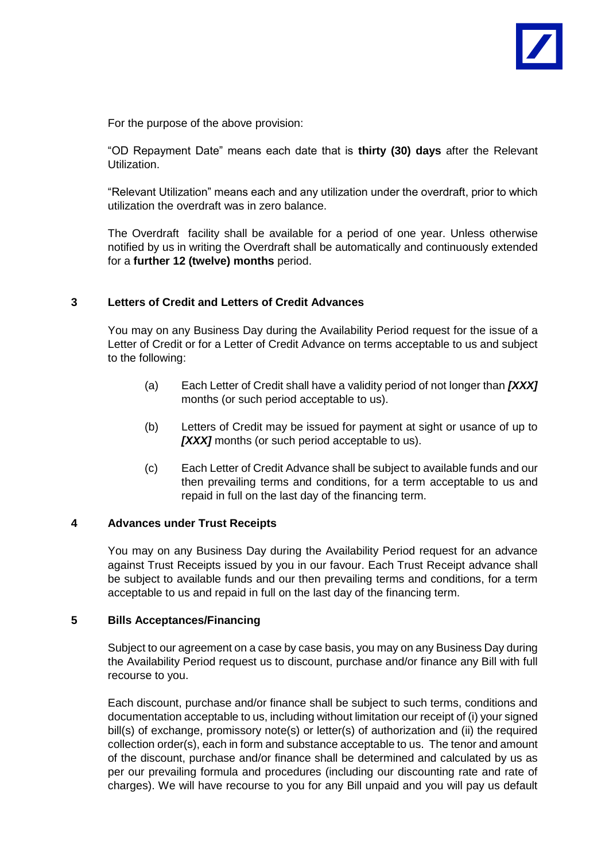

For the purpose of the above provision:

"OD Repayment Date" means each date that is **thirty (30) days** after the Relevant Utilization.

"Relevant Utilization" means each and any utilization under the overdraft, prior to which utilization the overdraft was in zero balance.

The Overdraft facility shall be available for a period of one year. Unless otherwise notified by us in writing the Overdraft shall be automatically and continuously extended for a **further 12 (twelve) months** period.

#### **3 Letters of Credit and Letters of Credit Advances**

You may on any Business Day during the Availability Period request for the issue of a Letter of Credit or for a Letter of Credit Advance on terms acceptable to us and subject to the following:

- (a) Each Letter of Credit shall have a validity period of not longer than *[XXX]* months (or such period acceptable to us).
- (b) Letters of Credit may be issued for payment at sight or usance of up to **[XXX]** months (or such period acceptable to us).
- (c) Each Letter of Credit Advance shall be subject to available funds and our then prevailing terms and conditions, for a term acceptable to us and repaid in full on the last day of the financing term.

#### **4 Advances under Trust Receipts**

You may on any Business Day during the Availability Period request for an advance against Trust Receipts issued by you in our favour. Each Trust Receipt advance shall be subject to available funds and our then prevailing terms and conditions, for a term acceptable to us and repaid in full on the last day of the financing term.

#### **5 Bills Acceptances/Financing**

Subject to our agreement on a case by case basis, you may on any Business Day during the Availability Period request us to discount, purchase and/or finance any Bill with full recourse to you.

Each discount, purchase and/or finance shall be subject to such terms, conditions and documentation acceptable to us, including without limitation our receipt of (i) your signed bill(s) of exchange, promissory note(s) or letter(s) of authorization and (ii) the required collection order(s), each in form and substance acceptable to us. The tenor and amount of the discount, purchase and/or finance shall be determined and calculated by us as per our prevailing formula and procedures (including our discounting rate and rate of charges). We will have recourse to you for any Bill unpaid and you will pay us default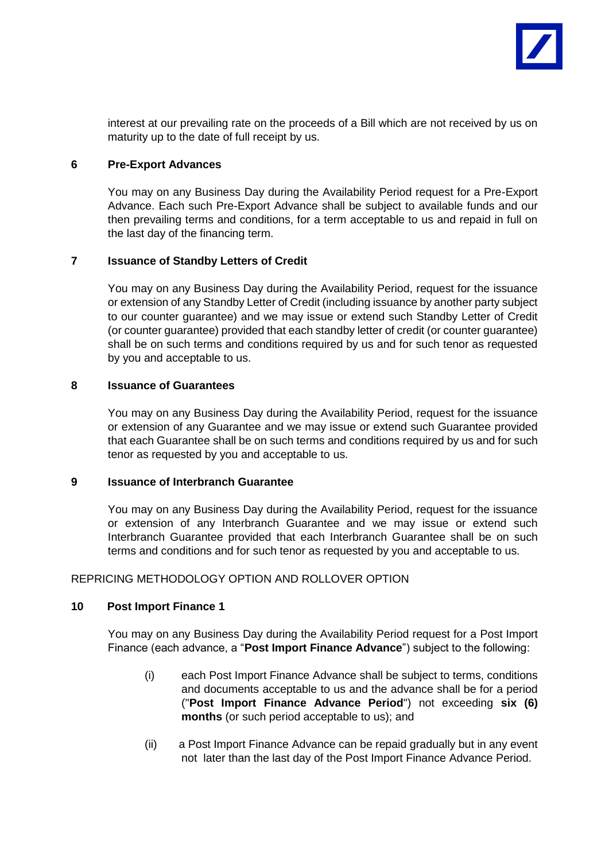

interest at our prevailing rate on the proceeds of a Bill which are not received by us on maturity up to the date of full receipt by us.

#### **6 Pre-Export Advances**

You may on any Business Day during the Availability Period request for a Pre-Export Advance. Each such Pre-Export Advance shall be subject to available funds and our then prevailing terms and conditions, for a term acceptable to us and repaid in full on the last day of the financing term.

### **7 Issuance of Standby Letters of Credit**

You may on any Business Day during the Availability Period, request for the issuance or extension of any Standby Letter of Credit (including issuance by another party subject to our counter guarantee) and we may issue or extend such Standby Letter of Credit (or counter guarantee) provided that each standby letter of credit (or counter guarantee) shall be on such terms and conditions required by us and for such tenor as requested by you and acceptable to us.

#### **8 Issuance of Guarantees**

You may on any Business Day during the Availability Period, request for the issuance or extension of any Guarantee and we may issue or extend such Guarantee provided that each Guarantee shall be on such terms and conditions required by us and for such tenor as requested by you and acceptable to us.

#### **9 Issuance of Interbranch Guarantee**

You may on any Business Day during the Availability Period, request for the issuance or extension of any Interbranch Guarantee and we may issue or extend such Interbranch Guarantee provided that each Interbranch Guarantee shall be on such terms and conditions and for such tenor as requested by you and acceptable to us.

#### REPRICING METHODOLOGY OPTION AND ROLLOVER OPTION

#### **10 Post Import Finance 1**

You may on any Business Day during the Availability Period request for a Post Import Finance (each advance, a "**Post Import Finance Advance**") subject to the following:

- (i) each Post Import Finance Advance shall be subject to terms, conditions and documents acceptable to us and the advance shall be for a period ("**Post Import Finance Advance Period**") not exceeding **six (6) months** (or such period acceptable to us); and
- (ii) a Post Import Finance Advance can be repaid gradually but in any event not later than the last day of the Post Import Finance Advance Period.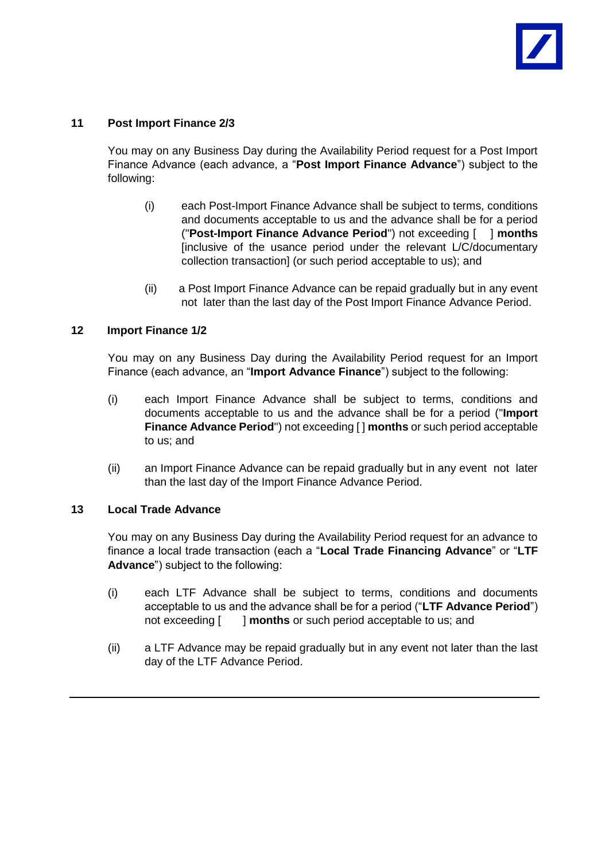## **11 Post Import Finance 2/3**

You may on any Business Day during the Availability Period request for a Post Import Finance Advance (each advance, a "**Post Import Finance Advance**") subject to the following:

- (i) each Post-Import Finance Advance shall be subject to terms, conditions and documents acceptable to us and the advance shall be for a period ("**Post-Import Finance Advance Period**") not exceeding [ ] **months** [inclusive of the usance period under the relevant L/C/documentary collection transaction] (or such period acceptable to us); and
- (ii) a Post Import Finance Advance can be repaid gradually but in any event not later than the last day of the Post Import Finance Advance Period.

### **12 Import Finance 1/2**

You may on any Business Day during the Availability Period request for an Import Finance (each advance, an "**Import Advance Finance**") subject to the following:

- (i) each Import Finance Advance shall be subject to terms, conditions and documents acceptable to us and the advance shall be for a period ("**Import Finance Advance Period**") not exceeding [ ] **months** or such period acceptable to us; and
- (ii) an Import Finance Advance can be repaid gradually but in any event not later than the last day of the Import Finance Advance Period.

#### **13 Local Trade Advance**

You may on any Business Day during the Availability Period request for an advance to finance a local trade transaction (each a "**Local Trade Financing Advance**" or "**LTF Advance**") subject to the following:

- (i) each LTF Advance shall be subject to terms, conditions and documents acceptable to us and the advance shall be for a period ("**LTF Advance Period**") not exceeding [ ] **months** or such period acceptable to us; and
- (ii) a LTF Advance may be repaid gradually but in any event not later than the last day of the LTF Advance Period.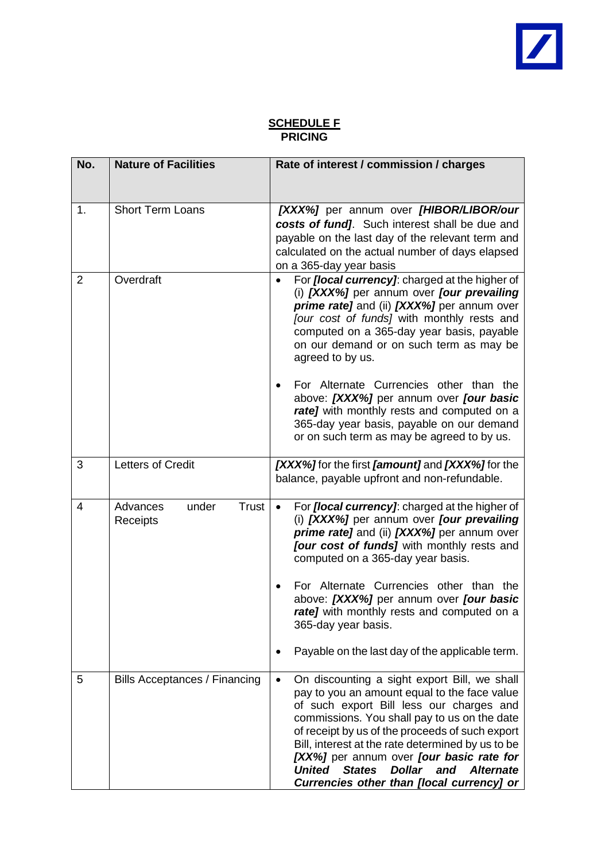# **SCHEDULE F PRICING**

| No.            | <b>Nature of Facilities</b>            | Rate of interest / commission / charges                                                                                                                                                                                                                                                                                                                                                                                                                                                                                                    |
|----------------|----------------------------------------|--------------------------------------------------------------------------------------------------------------------------------------------------------------------------------------------------------------------------------------------------------------------------------------------------------------------------------------------------------------------------------------------------------------------------------------------------------------------------------------------------------------------------------------------|
| 1.             | <b>Short Term Loans</b>                | [XXX%] per annum over [HIBOR/LIBOR/our<br>costs of fund]. Such interest shall be due and<br>payable on the last day of the relevant term and<br>calculated on the actual number of days elapsed<br>on a 365-day year basis                                                                                                                                                                                                                                                                                                                 |
| $\overline{2}$ | Overdraft                              | For <i>[local currency]</i> : charged at the higher of<br>(i) [XXX%] per annum over [our prevailing<br>prime rate] and (ii) [XXX%] per annum over<br>[our cost of funds] with monthly rests and<br>computed on a 365-day year basis, payable<br>on our demand or on such term as may be<br>agreed to by us.<br>For Alternate Currencies other than the<br>above: [XXX%] per annum over [our basic<br>rate] with monthly rests and computed on a<br>365-day year basis, payable on our demand<br>or on such term as may be agreed to by us. |
| 3              | Letters of Credit                      | [XXX%] for the first [amount] and [XXX%] for the<br>balance, payable upfront and non-refundable.                                                                                                                                                                                                                                                                                                                                                                                                                                           |
| 4              | Advances<br>under<br>Trust<br>Receipts | For <i>[local currency]</i> : charged at the higher of<br>(i) [XXX%] per annum over [our prevailing<br>prime rate] and (ii) [XXX%] per annum over<br>[our cost of funds] with monthly rests and<br>computed on a 365-day year basis.<br>For Alternate Currencies other than the<br>above: [XXX%] per annum over [our basic<br>rate] with monthly rests and computed on a<br>365-day year basis.<br>Payable on the last day of the applicable term.                                                                                         |
| 5              | <b>Bills Acceptances / Financing</b>   | On discounting a sight export Bill, we shall<br>$\bullet$<br>pay to you an amount equal to the face value<br>of such export Bill less our charges and<br>commissions. You shall pay to us on the date<br>of receipt by us of the proceeds of such export<br>Bill, interest at the rate determined by us to be<br>[XX%] per annum over <i>[our basic rate for</i><br><b>United</b><br><b>States</b><br><b>Dollar</b><br>and<br><b>Alternate</b><br>Currencies other than [local currency] or                                                |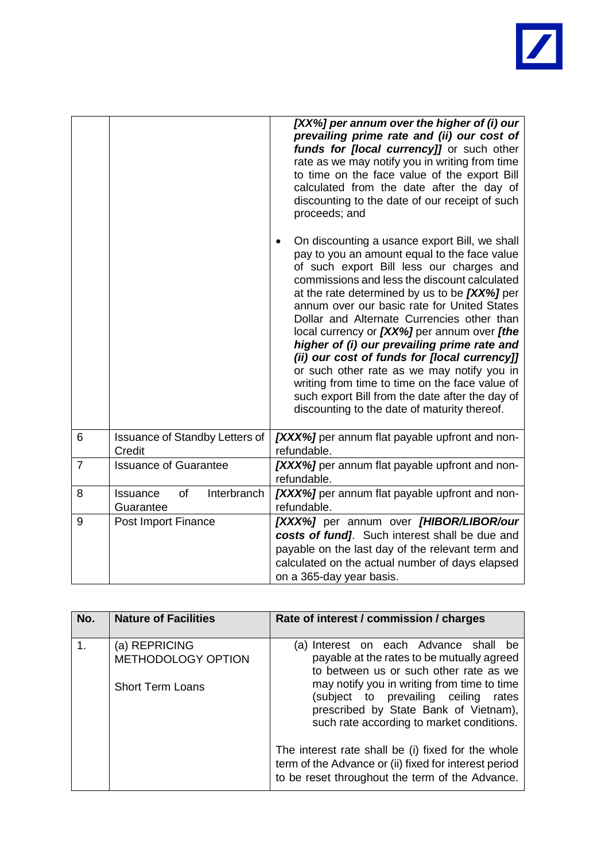

|                |                                            | [XX%] per annum over the higher of (i) our<br>prevailing prime rate and (ii) our cost of<br>funds for [local currency]] or such other<br>rate as we may notify you in writing from time<br>to time on the face value of the export Bill<br>calculated from the date after the day of<br>discounting to the date of our receipt of such<br>proceeds; and<br>On discounting a usance export Bill, we shall<br>$\bullet$<br>pay to you an amount equal to the face value<br>of such export Bill less our charges and<br>commissions and less the discount calculated<br>at the rate determined by us to be [XX%] per<br>annum over our basic rate for United States<br>Dollar and Alternate Currencies other than<br>local currency or [XX%] per annum over [the<br>higher of (i) our prevailing prime rate and<br>(ii) our cost of funds for [local currency]]<br>or such other rate as we may notify you in<br>writing from time to time on the face value of<br>such export Bill from the date after the day of<br>discounting to the date of maturity thereof. |
|----------------|--------------------------------------------|-----------------------------------------------------------------------------------------------------------------------------------------------------------------------------------------------------------------------------------------------------------------------------------------------------------------------------------------------------------------------------------------------------------------------------------------------------------------------------------------------------------------------------------------------------------------------------------------------------------------------------------------------------------------------------------------------------------------------------------------------------------------------------------------------------------------------------------------------------------------------------------------------------------------------------------------------------------------------------------------------------------------------------------------------------------------|
| 6              | Issuance of Standby Letters of<br>Credit   | [XXX%] per annum flat payable upfront and non-<br>refundable.                                                                                                                                                                                                                                                                                                                                                                                                                                                                                                                                                                                                                                                                                                                                                                                                                                                                                                                                                                                                   |
| $\overline{7}$ | <b>Issuance of Guarantee</b>               | [XXX%] per annum flat payable upfront and non-<br>refundable.                                                                                                                                                                                                                                                                                                                                                                                                                                                                                                                                                                                                                                                                                                                                                                                                                                                                                                                                                                                                   |
| 8              | Interbranch<br>Issuance<br>of<br>Guarantee | [XXX%] per annum flat payable upfront and non-<br>refundable.                                                                                                                                                                                                                                                                                                                                                                                                                                                                                                                                                                                                                                                                                                                                                                                                                                                                                                                                                                                                   |
| 9              | Post Import Finance                        | [XXX%] per annum over [HIBOR/LIBOR/our<br>costs of fund]. Such interest shall be due and<br>payable on the last day of the relevant term and<br>calculated on the actual number of days elapsed<br>on a 365-day year basis.                                                                                                                                                                                                                                                                                                                                                                                                                                                                                                                                                                                                                                                                                                                                                                                                                                     |

| No. | <b>Nature of Facilities</b>         | Rate of interest / commission / charges                                                                                                                                      |
|-----|-------------------------------------|------------------------------------------------------------------------------------------------------------------------------------------------------------------------------|
| 1.  | (a) REPRICING<br>METHODOLOGY OPTION | (a) Interest on each Advance shall be<br>payable at the rates to be mutually agreed<br>to between us or such other rate as we                                                |
|     | <b>Short Term Loans</b>             | may notify you in writing from time to time<br>(subject to prevailing ceiling<br>rates<br>prescribed by State Bank of Vietnam),<br>such rate according to market conditions. |
|     |                                     | The interest rate shall be (i) fixed for the whole<br>term of the Advance or (ii) fixed for interest period<br>to be reset throughout the term of the Advance.               |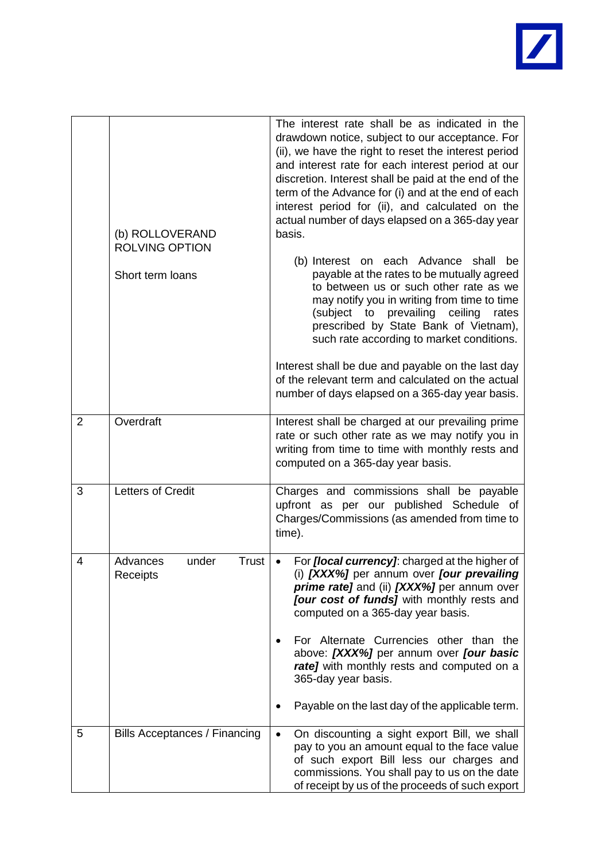

|   | (b) ROLLOVERAND<br><b>ROLVING OPTION</b><br>Short term loans | The interest rate shall be as indicated in the<br>drawdown notice, subject to our acceptance. For<br>(ii), we have the right to reset the interest period<br>and interest rate for each interest period at our<br>discretion. Interest shall be paid at the end of the<br>term of the Advance for (i) and at the end of each<br>interest period for (ii), and calculated on the<br>actual number of days elapsed on a 365-day year<br>basis.<br>(b) Interest on each Advance shall<br>be<br>payable at the rates to be mutually agreed<br>to between us or such other rate as we<br>may notify you in writing from time to time<br>(subject to prevailing ceiling<br>rates<br>prescribed by State Bank of Vietnam),<br>such rate according to market conditions.<br>Interest shall be due and payable on the last day<br>of the relevant term and calculated on the actual |
|---|--------------------------------------------------------------|----------------------------------------------------------------------------------------------------------------------------------------------------------------------------------------------------------------------------------------------------------------------------------------------------------------------------------------------------------------------------------------------------------------------------------------------------------------------------------------------------------------------------------------------------------------------------------------------------------------------------------------------------------------------------------------------------------------------------------------------------------------------------------------------------------------------------------------------------------------------------|
|   |                                                              | number of days elapsed on a 365-day year basis.                                                                                                                                                                                                                                                                                                                                                                                                                                                                                                                                                                                                                                                                                                                                                                                                                            |
| 2 | Overdraft                                                    | Interest shall be charged at our prevailing prime<br>rate or such other rate as we may notify you in<br>writing from time to time with monthly rests and<br>computed on a 365-day year basis.                                                                                                                                                                                                                                                                                                                                                                                                                                                                                                                                                                                                                                                                              |
| 3 | <b>Letters of Credit</b>                                     | Charges and commissions shall be payable<br>upfront as per our published Schedule of<br>Charges/Commissions (as amended from time to<br>time).                                                                                                                                                                                                                                                                                                                                                                                                                                                                                                                                                                                                                                                                                                                             |
| 4 | <b>Trust</b><br>Advances<br>under<br>Receipts                | For <i>[local currency]</i> : charged at the higher of<br>(i) [XXX%] per annum over [our prevailing<br>prime rate] and (ii) [XXX%] per annum over<br>[our cost of funds] with monthly rests and<br>computed on a 365-day year basis.                                                                                                                                                                                                                                                                                                                                                                                                                                                                                                                                                                                                                                       |
|   |                                                              | For Alternate Currencies other than the<br>above: [XXX%] per annum over [our basic<br>rate] with monthly rests and computed on a<br>365-day year basis.<br>Payable on the last day of the applicable term.                                                                                                                                                                                                                                                                                                                                                                                                                                                                                                                                                                                                                                                                 |
|   |                                                              |                                                                                                                                                                                                                                                                                                                                                                                                                                                                                                                                                                                                                                                                                                                                                                                                                                                                            |
| 5 | Bills Acceptances / Financing                                | On discounting a sight export Bill, we shall<br>pay to you an amount equal to the face value<br>of such export Bill less our charges and<br>commissions. You shall pay to us on the date<br>of receipt by us of the proceeds of such export                                                                                                                                                                                                                                                                                                                                                                                                                                                                                                                                                                                                                                |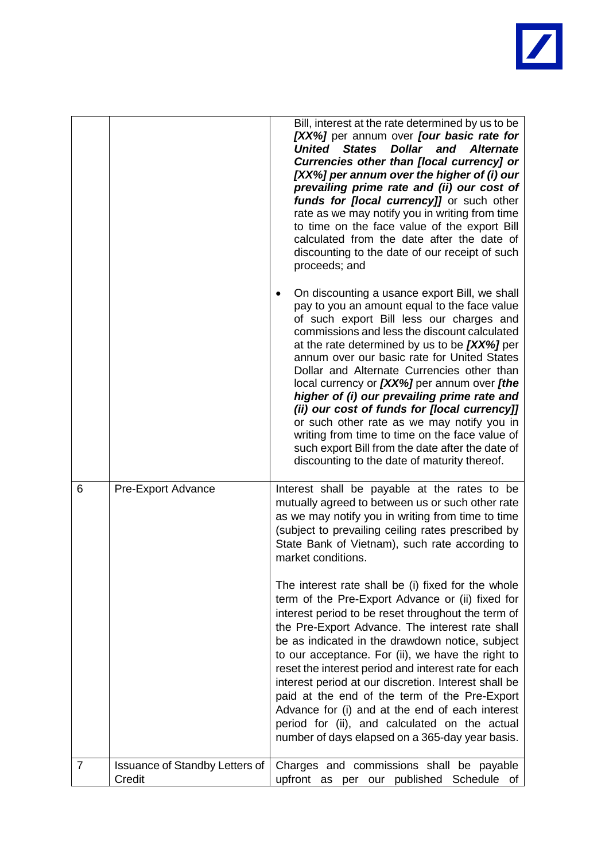

|   |                                                 | Bill, interest at the rate determined by us to be                                                                                                                                                                                                                                                                                                                                                                                                                                                                                                                                                                                                                                             |
|---|-------------------------------------------------|-----------------------------------------------------------------------------------------------------------------------------------------------------------------------------------------------------------------------------------------------------------------------------------------------------------------------------------------------------------------------------------------------------------------------------------------------------------------------------------------------------------------------------------------------------------------------------------------------------------------------------------------------------------------------------------------------|
|   |                                                 | [XX%] per annum over [our basic rate for<br><b>States</b><br><b>Dollar</b><br>United<br>and<br><b>Alternate</b><br>Currencies other than [local currency] or<br>[XX%] per annum over the higher of (i) our<br>prevailing prime rate and (ii) our cost of<br>funds for [local currency]] or such other<br>rate as we may notify you in writing from time<br>to time on the face value of the export Bill<br>calculated from the date after the date of<br>discounting to the date of our receipt of such<br>proceeds; and                                                                                                                                                                      |
|   |                                                 | On discounting a usance export Bill, we shall<br>٠<br>pay to you an amount equal to the face value<br>of such export Bill less our charges and<br>commissions and less the discount calculated<br>at the rate determined by us to be [XX%] per<br>annum over our basic rate for United States<br>Dollar and Alternate Currencies other than<br>local currency or [XX%] per annum over [the<br>higher of (i) our prevailing prime rate and<br>(ii) our cost of funds for [local currency]]<br>or such other rate as we may notify you in<br>writing from time to time on the face value of<br>such export Bill from the date after the date of<br>discounting to the date of maturity thereof. |
| 6 | <b>Pre-Export Advance</b>                       | Interest shall be payable at the rates to be<br>mutually agreed to between us or such other rate<br>as we may notify you in writing from time to time<br>(subject to prevailing ceiling rates prescribed by<br>State Bank of Vietnam), such rate according to<br>market conditions.                                                                                                                                                                                                                                                                                                                                                                                                           |
|   |                                                 | The interest rate shall be (i) fixed for the whole<br>term of the Pre-Export Advance or (ii) fixed for<br>interest period to be reset throughout the term of<br>the Pre-Export Advance. The interest rate shall<br>be as indicated in the drawdown notice, subject<br>to our acceptance. For (ii), we have the right to<br>reset the interest period and interest rate for each<br>interest period at our discretion. Interest shall be<br>paid at the end of the term of the Pre-Export<br>Advance for (i) and at the end of each interest<br>period for (ii), and calculated on the actual<br>number of days elapsed on a 365-day year basis.                                               |
| 7 | <b>Issuance of Standby Letters of</b><br>Credit | Charges and commissions shall be payable<br>upfront as per our published Schedule of                                                                                                                                                                                                                                                                                                                                                                                                                                                                                                                                                                                                          |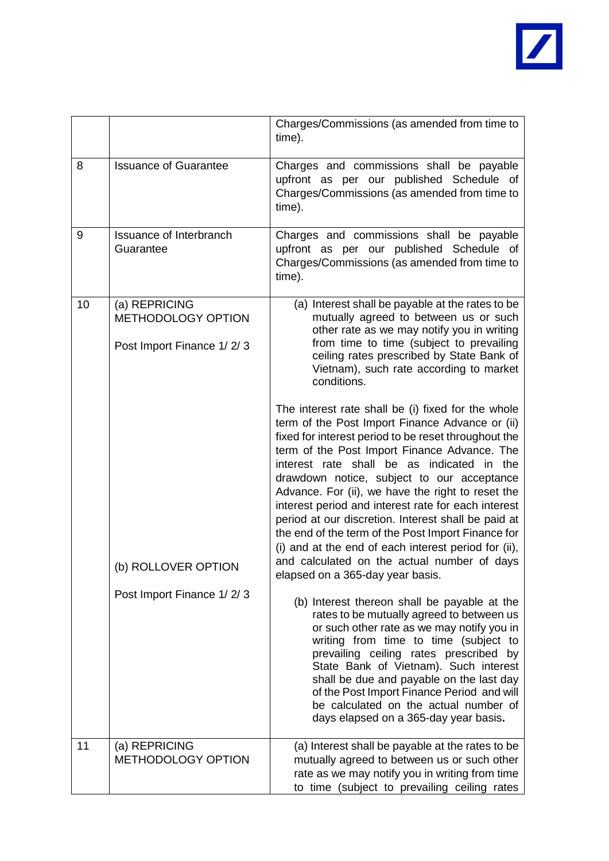

|    |                                                                         | Charges/Commissions (as amended from time to<br>time).                                                                                                                                                                                                                                                                                                                                                                                                                                                                                                                                                                                                                        |
|----|-------------------------------------------------------------------------|-------------------------------------------------------------------------------------------------------------------------------------------------------------------------------------------------------------------------------------------------------------------------------------------------------------------------------------------------------------------------------------------------------------------------------------------------------------------------------------------------------------------------------------------------------------------------------------------------------------------------------------------------------------------------------|
| 8  | <b>Issuance of Guarantee</b>                                            | Charges and commissions shall be payable<br>upfront as per our published Schedule of<br>Charges/Commissions (as amended from time to<br>time).                                                                                                                                                                                                                                                                                                                                                                                                                                                                                                                                |
| 9  | Issuance of Interbranch<br>Guarantee                                    | Charges and commissions shall be payable<br>upfront as per our published Schedule of<br>Charges/Commissions (as amended from time to<br>time).                                                                                                                                                                                                                                                                                                                                                                                                                                                                                                                                |
| 10 | (a) REPRICING<br><b>METHODOLOGY OPTION</b><br>Post Import Finance 1/2/3 | (a) Interest shall be payable at the rates to be<br>mutually agreed to between us or such<br>other rate as we may notify you in writing<br>from time to time (subject to prevailing<br>ceiling rates prescribed by State Bank of<br>Vietnam), such rate according to market<br>conditions.                                                                                                                                                                                                                                                                                                                                                                                    |
|    | (b) ROLLOVER OPTION                                                     | The interest rate shall be (i) fixed for the whole<br>term of the Post Import Finance Advance or (ii)<br>fixed for interest period to be reset throughout the<br>term of the Post Import Finance Advance. The<br>interest rate shall be as indicated in the<br>drawdown notice, subject to our acceptance<br>Advance. For (ii), we have the right to reset the<br>interest period and interest rate for each interest<br>period at our discretion. Interest shall be paid at<br>the end of the term of the Post Import Finance for<br>(i) and at the end of each interest period for (ii),<br>and calculated on the actual number of days<br>elapsed on a 365-day year basis. |
|    | Post Import Finance 1/2/3                                               | (b) Interest thereon shall be payable at the<br>rates to be mutually agreed to between us<br>or such other rate as we may notify you in<br>writing from time to time (subject to<br>prevailing ceiling rates prescribed by<br>State Bank of Vietnam). Such interest<br>shall be due and payable on the last day<br>of the Post Import Finance Period and will<br>be calculated on the actual number of<br>days elapsed on a 365-day year basis.                                                                                                                                                                                                                               |
| 11 | (a) REPRICING<br>METHODOLOGY OPTION                                     | (a) Interest shall be payable at the rates to be<br>mutually agreed to between us or such other<br>rate as we may notify you in writing from time<br>to time (subject to prevailing ceiling rates                                                                                                                                                                                                                                                                                                                                                                                                                                                                             |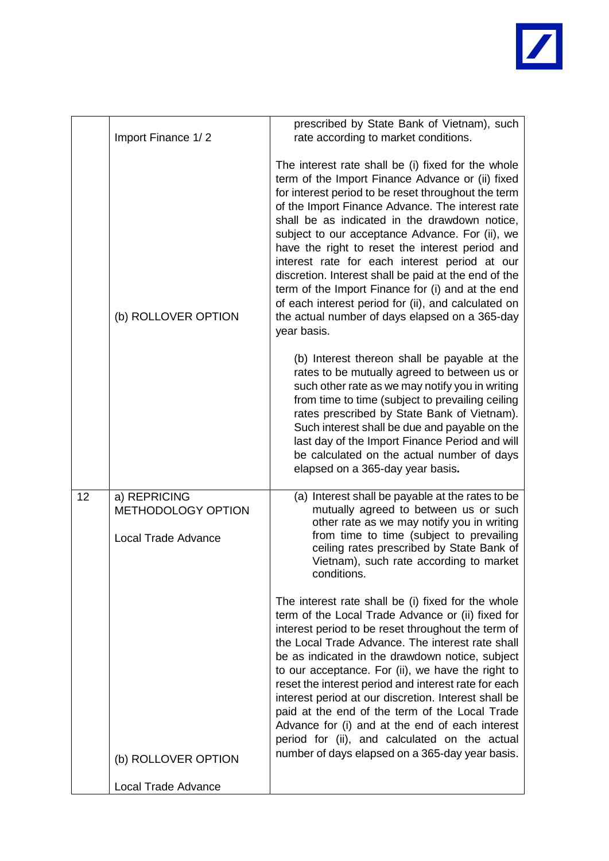

|    | Import Finance 1/2                                               | prescribed by State Bank of Vietnam), such<br>rate according to market conditions.                                                                                                                                                                                                                                                                                                                                                                                                                                                                                                                                                                             |
|----|------------------------------------------------------------------|----------------------------------------------------------------------------------------------------------------------------------------------------------------------------------------------------------------------------------------------------------------------------------------------------------------------------------------------------------------------------------------------------------------------------------------------------------------------------------------------------------------------------------------------------------------------------------------------------------------------------------------------------------------|
|    | (b) ROLLOVER OPTION                                              | The interest rate shall be (i) fixed for the whole<br>term of the Import Finance Advance or (ii) fixed<br>for interest period to be reset throughout the term<br>of the Import Finance Advance. The interest rate<br>shall be as indicated in the drawdown notice,<br>subject to our acceptance Advance. For (ii), we<br>have the right to reset the interest period and<br>interest rate for each interest period at our<br>discretion. Interest shall be paid at the end of the<br>term of the Import Finance for (i) and at the end<br>of each interest period for (ii), and calculated on<br>the actual number of days elapsed on a 365-day<br>year basis. |
|    |                                                                  | (b) Interest thereon shall be payable at the<br>rates to be mutually agreed to between us or<br>such other rate as we may notify you in writing<br>from time to time (subject to prevailing ceiling<br>rates prescribed by State Bank of Vietnam).<br>Such interest shall be due and payable on the<br>last day of the Import Finance Period and will<br>be calculated on the actual number of days<br>elapsed on a 365-day year basis.                                                                                                                                                                                                                        |
| 12 | a) REPRICING<br>METHODOLOGY OPTION<br><b>Local Trade Advance</b> | (a) Interest shall be payable at the rates to be<br>mutually agreed to between us or such<br>other rate as we may notify you in writing<br>from time to time (subject to prevailing<br>ceiling rates prescribed by State Bank of<br>Vietnam), such rate according to market<br>conditions.                                                                                                                                                                                                                                                                                                                                                                     |
|    |                                                                  | The interest rate shall be (i) fixed for the whole<br>term of the Local Trade Advance or (ii) fixed for<br>interest period to be reset throughout the term of<br>the Local Trade Advance. The interest rate shall<br>be as indicated in the drawdown notice, subject<br>to our acceptance. For (ii), we have the right to<br>reset the interest period and interest rate for each<br>interest period at our discretion. Interest shall be<br>paid at the end of the term of the Local Trade<br>Advance for (i) and at the end of each interest<br>period for (ii), and calculated on the actual                                                                |
|    | (b) ROLLOVER OPTION                                              | number of days elapsed on a 365-day year basis.                                                                                                                                                                                                                                                                                                                                                                                                                                                                                                                                                                                                                |
|    | Local Trade Advance                                              |                                                                                                                                                                                                                                                                                                                                                                                                                                                                                                                                                                                                                                                                |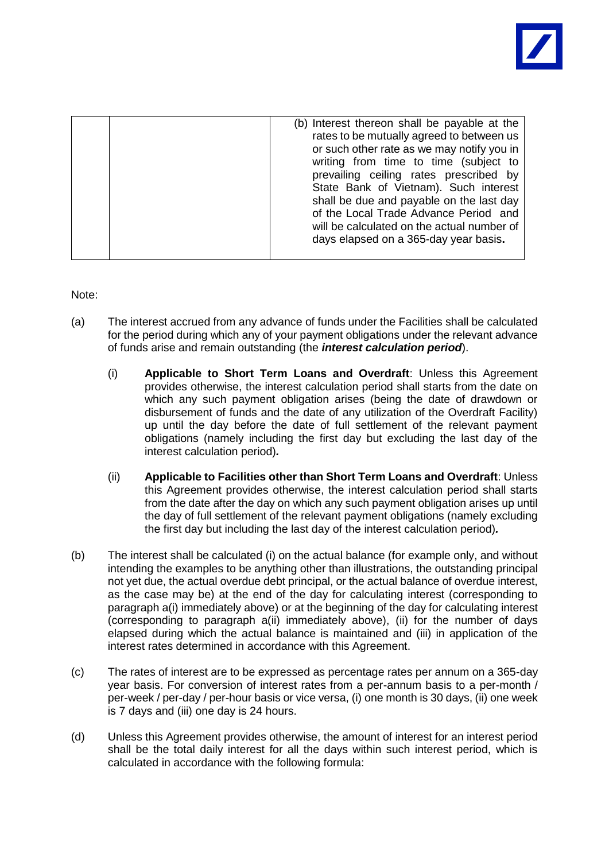

| (b) Interest thereon shall be payable at the |
|----------------------------------------------|
| rates to be mutually agreed to between us    |
| or such other rate as we may notify you in   |
| writing from time to time (subject to        |
|                                              |
| prevailing ceiling rates prescribed by       |
| State Bank of Vietnam). Such interest        |
| shall be due and payable on the last day     |
|                                              |
| of the Local Trade Advance Period and        |
| will be calculated on the actual number of   |
|                                              |
| days elapsed on a 365-day year basis.        |
|                                              |
|                                              |

Note:

- (a) The interest accrued from any advance of funds under the Facilities shall be calculated for the period during which any of your payment obligations under the relevant advance of funds arise and remain outstanding (the *interest calculation period*).
	- (i) **Applicable to Short Term Loans and Overdraft**: Unless this Agreement provides otherwise, the interest calculation period shall starts from the date on which any such payment obligation arises (being the date of drawdown or disbursement of funds and the date of any utilization of the Overdraft Facility) up until the day before the date of full settlement of the relevant payment obligations (namely including the first day but excluding the last day of the interest calculation period)*.*
	- (ii) **Applicable to Facilities other than Short Term Loans and Overdraft**: Unless this Agreement provides otherwise, the interest calculation period shall starts from the date after the day on which any such payment obligation arises up until the day of full settlement of the relevant payment obligations (namely excluding the first day but including the last day of the interest calculation period)*.*
- (b) The interest shall be calculated (i) on the actual balance (for example only, and without intending the examples to be anything other than illustrations, the outstanding principal not yet due, the actual overdue debt principal, or the actual balance of overdue interest, as the case may be) at the end of the day for calculating interest (corresponding to paragraph a(i) immediately above) or at the beginning of the day for calculating interest (corresponding to paragraph a(ii) immediately above), (ii) for the number of days elapsed during which the actual balance is maintained and (iii) in application of the interest rates determined in accordance with this Agreement.
- (c) The rates of interest are to be expressed as percentage rates per annum on a 365-day year basis. For conversion of interest rates from a per-annum basis to a per-month / per-week / per-day / per-hour basis or vice versa, (i) one month is 30 days, (ii) one week is 7 days and (iii) one day is 24 hours.
- (d) Unless this Agreement provides otherwise, the amount of interest for an interest period shall be the total daily interest for all the days within such interest period, which is calculated in accordance with the following formula: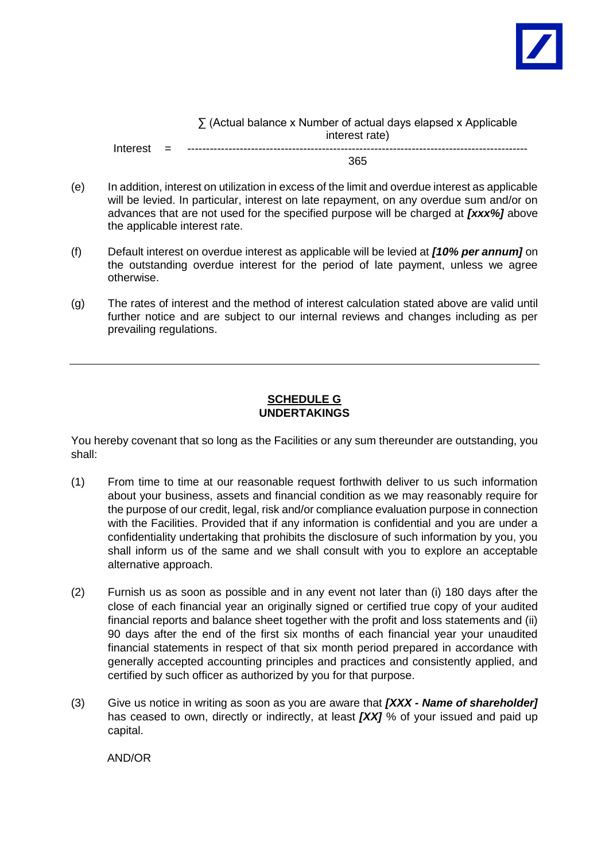

∑ (Actual balance x Number of actual days elapsed x Applicable interest rate)  $Interest =$ 

365

- (e) In addition, interest on utilization in excess of the limit and overdue interest as applicable will be levied. In particular, interest on late repayment, on any overdue sum and/or on advances that are not used for the specified purpose will be charged at *[xxx%]* above the applicable interest rate.
- (f) Default interest on overdue interest as applicable will be levied at *[10% per annum]* on the outstanding overdue interest for the period of late payment, unless we agree otherwise.
- (g) The rates of interest and the method of interest calculation stated above are valid until further notice and are subject to our internal reviews and changes including as per prevailing regulations.

## **SCHEDULE G UNDERTAKINGS**

You hereby covenant that so long as the Facilities or any sum thereunder are outstanding, you shall:

- (1) From time to time at our reasonable request forthwith deliver to us such information about your business, assets and financial condition as we may reasonably require for the purpose of our credit, legal, risk and/or compliance evaluation purpose in connection with the Facilities. Provided that if any information is confidential and you are under a confidentiality undertaking that prohibits the disclosure of such information by you, you shall inform us of the same and we shall consult with you to explore an acceptable alternative approach.
- (2) Furnish us as soon as possible and in any event not later than (i) 180 days after the close of each financial year an originally signed or certified true copy of your audited financial reports and balance sheet together with the profit and loss statements and (ii) 90 days after the end of the first six months of each financial year your unaudited financial statements in respect of that six month period prepared in accordance with generally accepted accounting principles and practices and consistently applied, and certified by such officer as authorized by you for that purpose.
- (3) Give us notice in writing as soon as you are aware that *[XXX - Name of shareholder]* has ceased to own, directly or indirectly, at least *[XX]* % of your issued and paid up capital.

AND/OR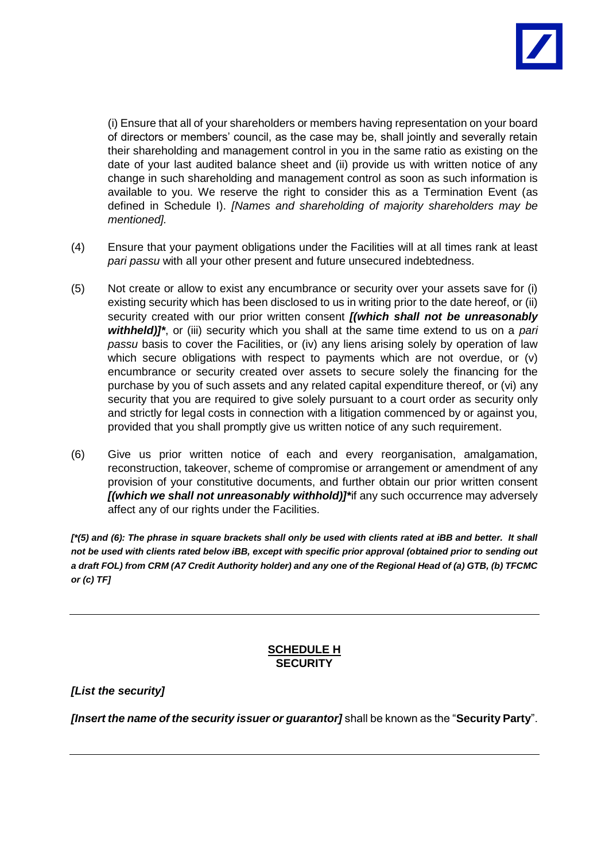

(i) Ensure that all of your shareholders or members having representation on your board of directors or members' council, as the case may be, shall jointly and severally retain their shareholding and management control in you in the same ratio as existing on the date of your last audited balance sheet and (ii) provide us with written notice of any change in such shareholding and management control as soon as such information is available to you. We reserve the right to consider this as a Termination Event (as defined in Schedule I). *[Names and shareholding of majority shareholders may be mentioned].* 

- (4) Ensure that your payment obligations under the Facilities will at all times rank at least *pari passu* with all your other present and future unsecured indebtedness.
- (5) Not create or allow to exist any encumbrance or security over your assets save for (i) existing security which has been disclosed to us in writing prior to the date hereof, or (ii) security created with our prior written consent *[(which shall not be unreasonably withheld)]\**, or (iii) security which you shall at the same time extend to us on a *pari passu* basis to cover the Facilities, or (iv) any liens arising solely by operation of law which secure obligations with respect to payments which are not overdue, or (v) encumbrance or security created over assets to secure solely the financing for the purchase by you of such assets and any related capital expenditure thereof, or (vi) any security that you are required to give solely pursuant to a court order as security only and strictly for legal costs in connection with a litigation commenced by or against you, provided that you shall promptly give us written notice of any such requirement.
- (6) Give us prior written notice of each and every reorganisation, amalgamation, reconstruction, takeover, scheme of compromise or arrangement or amendment of any provision of your constitutive documents, and further obtain our prior written consent *[(which we shall not unreasonably withhold)]\**if any such occurrence may adversely affect any of our rights under the Facilities.

*[\*(5) and (6): The phrase in square brackets shall only be used with clients rated at iBB and better. It shall not be used with clients rated below iBB, except with specific prior approval (obtained prior to sending out a draft FOL) from CRM (A7 Credit Authority holder) and any one of the Regional Head of (a) GTB, (b) TFCMC or (c) TF]*

# **SCHEDULE H SECURITY**

*[List the security]*

*[Insert the name of the security issuer or guarantor]* shall be known as the "**Security Party**".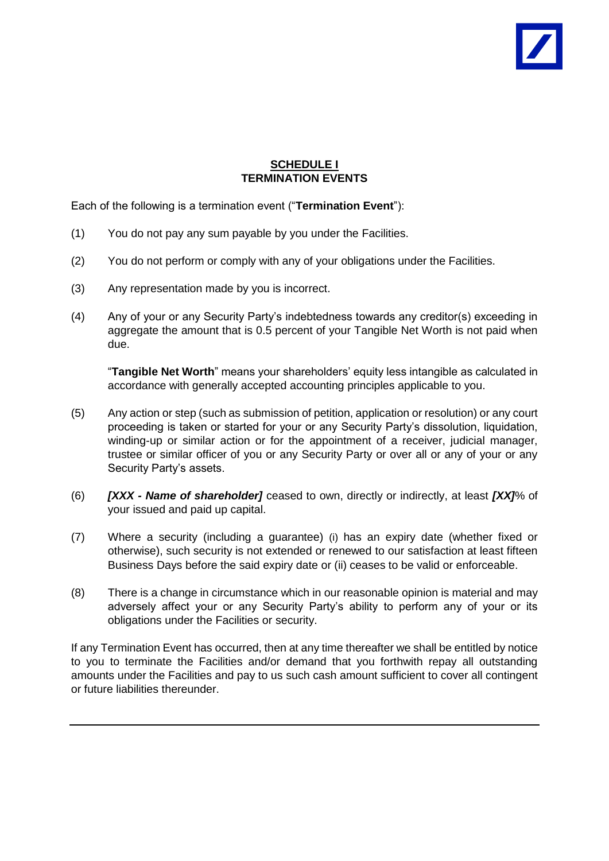

## **SCHEDULE I TERMINATION EVENTS**

Each of the following is a termination event ("**Termination Event**"):

- (1) You do not pay any sum payable by you under the Facilities.
- (2) You do not perform or comply with any of your obligations under the Facilities.
- (3) Any representation made by you is incorrect.
- (4) Any of your or any Security Party's indebtedness towards any creditor(s) exceeding in aggregate the amount that is 0.5 percent of your Tangible Net Worth is not paid when due.

"**Tangible Net Worth**" means your shareholders' equity less intangible as calculated in accordance with generally accepted accounting principles applicable to you.

- (5) Any action or step (such as submission of petition, application or resolution) or any court proceeding is taken or started for your or any Security Party's dissolution, liquidation, winding-up or similar action or for the appointment of a receiver, judicial manager, trustee or similar officer of you or any Security Party or over all or any of your or any Security Party's assets.
- (6) *[XXX - Name of shareholder]* ceased to own, directly or indirectly, at least *[XX]*% of your issued and paid up capital.
- (7) Where a security (including a guarantee) (i) has an expiry date (whether fixed or otherwise), such security is not extended or renewed to our satisfaction at least fifteen Business Days before the said expiry date or (ii) ceases to be valid or enforceable.
- (8) There is a change in circumstance which in our reasonable opinion is material and may adversely affect your or any Security Party's ability to perform any of your or its obligations under the Facilities or security.

If any Termination Event has occurred, then at any time thereafter we shall be entitled by notice to you to terminate the Facilities and/or demand that you forthwith repay all outstanding amounts under the Facilities and pay to us such cash amount sufficient to cover all contingent or future liabilities thereunder.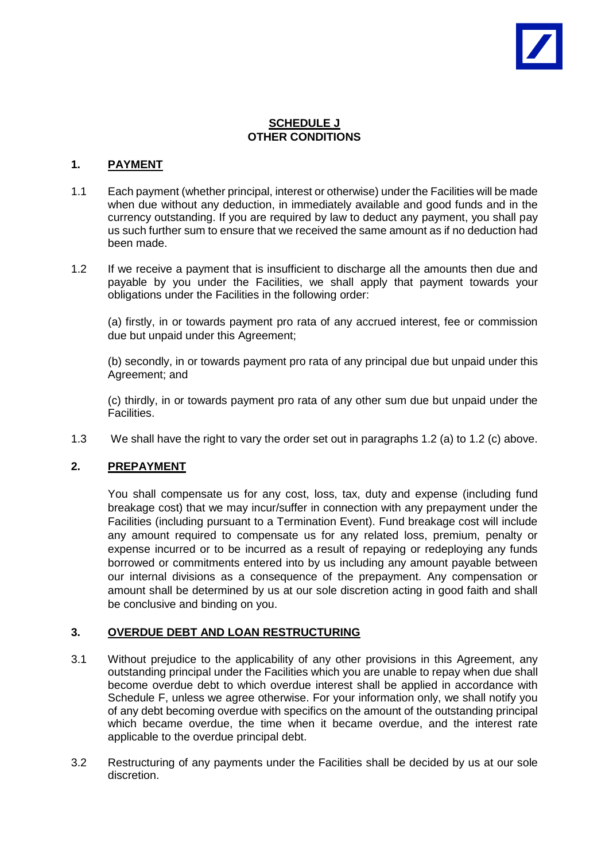# **SCHEDULE J OTHER CONDITIONS**

### **1. PAYMENT**

- 1.1 Each payment (whether principal, interest or otherwise) under the Facilities will be made when due without any deduction, in immediately available and good funds and in the currency outstanding. If you are required by law to deduct any payment, you shall pay us such further sum to ensure that we received the same amount as if no deduction had been made.
- 1.2 If we receive a payment that is insufficient to discharge all the amounts then due and payable by you under the Facilities, we shall apply that payment towards your obligations under the Facilities in the following order:

(a) firstly, in or towards payment pro rata of any accrued interest, fee or commission due but unpaid under this Agreement;

(b) secondly, in or towards payment pro rata of any principal due but unpaid under this Agreement; and

(c) thirdly, in or towards payment pro rata of any other sum due but unpaid under the Facilities.

1.3 We shall have the right to vary the order set out in paragraphs 1.2 (a) to 1.2 (c) above.

#### **2. PREPAYMENT**

You shall compensate us for any cost, loss, tax, duty and expense (including fund breakage cost) that we may incur/suffer in connection with any prepayment under the Facilities (including pursuant to a Termination Event). Fund breakage cost will include any amount required to compensate us for any related loss, premium, penalty or expense incurred or to be incurred as a result of repaying or redeploying any funds borrowed or commitments entered into by us including any amount payable between our internal divisions as a consequence of the prepayment. Any compensation or amount shall be determined by us at our sole discretion acting in good faith and shall be conclusive and binding on you.

#### **3. OVERDUE DEBT AND LOAN RESTRUCTURING**

- 3.1 Without prejudice to the applicability of any other provisions in this Agreement, any outstanding principal under the Facilities which you are unable to repay when due shall become overdue debt to which overdue interest shall be applied in accordance with Schedule F, unless we agree otherwise. For your information only, we shall notify you of any debt becoming overdue with specifics on the amount of the outstanding principal which became overdue, the time when it became overdue, and the interest rate applicable to the overdue principal debt.
- 3.2 Restructuring of any payments under the Facilities shall be decided by us at our sole discretion.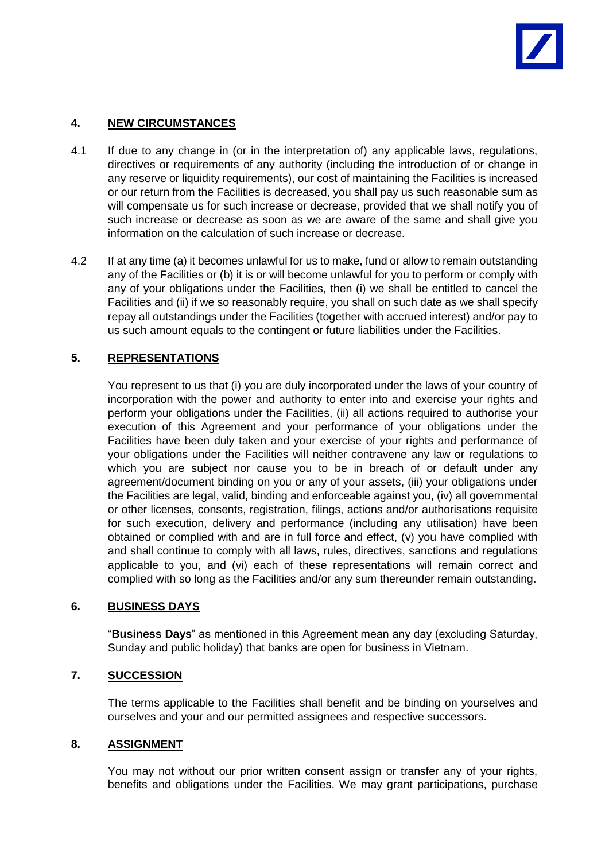# **4. NEW CIRCUMSTANCES**

- 4.1 If due to any change in (or in the interpretation of) any applicable laws, regulations, directives or requirements of any authority (including the introduction of or change in any reserve or liquidity requirements), our cost of maintaining the Facilities is increased or our return from the Facilities is decreased, you shall pay us such reasonable sum as will compensate us for such increase or decrease, provided that we shall notify you of such increase or decrease as soon as we are aware of the same and shall give you information on the calculation of such increase or decrease.
- 4.2 If at any time (a) it becomes unlawful for us to make, fund or allow to remain outstanding any of the Facilities or (b) it is or will become unlawful for you to perform or comply with any of your obligations under the Facilities, then (i) we shall be entitled to cancel the Facilities and (ii) if we so reasonably require, you shall on such date as we shall specify repay all outstandings under the Facilities (together with accrued interest) and/or pay to us such amount equals to the contingent or future liabilities under the Facilities.

# **5. REPRESENTATIONS**

You represent to us that (i) you are duly incorporated under the laws of your country of incorporation with the power and authority to enter into and exercise your rights and perform your obligations under the Facilities, (ii) all actions required to authorise your execution of this Agreement and your performance of your obligations under the Facilities have been duly taken and your exercise of your rights and performance of your obligations under the Facilities will neither contravene any law or regulations to which you are subject nor cause you to be in breach of or default under any agreement/document binding on you or any of your assets, (iii) your obligations under the Facilities are legal, valid, binding and enforceable against you, (iv) all governmental or other licenses, consents, registration, filings, actions and/or authorisations requisite for such execution, delivery and performance (including any utilisation) have been obtained or complied with and are in full force and effect, (v) you have complied with and shall continue to comply with all laws, rules, directives, sanctions and regulations applicable to you, and (vi) each of these representations will remain correct and complied with so long as the Facilities and/or any sum thereunder remain outstanding.

# **6. BUSINESS DAYS**

"**Business Days**" as mentioned in this Agreement mean any day (excluding Saturday, Sunday and public holiday) that banks are open for business in Vietnam.

# **7. SUCCESSION**

The terms applicable to the Facilities shall benefit and be binding on yourselves and ourselves and your and our permitted assignees and respective successors.

# **8. ASSIGNMENT**

You may not without our prior written consent assign or transfer any of your rights, benefits and obligations under the Facilities. We may grant participations, purchase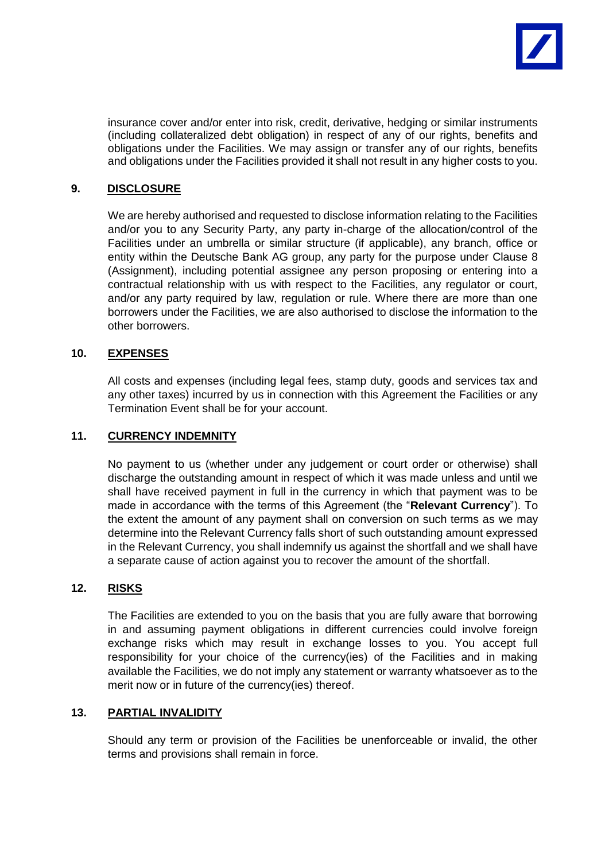

insurance cover and/or enter into risk, credit, derivative, hedging or similar instruments (including collateralized debt obligation) in respect of any of our rights, benefits and obligations under the Facilities. We may assign or transfer any of our rights, benefits and obligations under the Facilities provided it shall not result in any higher costs to you.

## **9. DISCLOSURE**

We are hereby authorised and requested to disclose information relating to the Facilities and/or you to any Security Party, any party in-charge of the allocation/control of the Facilities under an umbrella or similar structure (if applicable), any branch, office or entity within the Deutsche Bank AG group, any party for the purpose under Clause 8 (Assignment), including potential assignee any person proposing or entering into a contractual relationship with us with respect to the Facilities, any regulator or court, and/or any party required by law, regulation or rule. Where there are more than one borrowers under the Facilities, we are also authorised to disclose the information to the other borrowers.

#### **10. EXPENSES**

All costs and expenses (including legal fees, stamp duty, goods and services tax and any other taxes) incurred by us in connection with this Agreement the Facilities or any Termination Event shall be for your account.

#### **11. CURRENCY INDEMNITY**

No payment to us (whether under any judgement or court order or otherwise) shall discharge the outstanding amount in respect of which it was made unless and until we shall have received payment in full in the currency in which that payment was to be made in accordance with the terms of this Agreement (the "**Relevant Currency**"). To the extent the amount of any payment shall on conversion on such terms as we may determine into the Relevant Currency falls short of such outstanding amount expressed in the Relevant Currency, you shall indemnify us against the shortfall and we shall have a separate cause of action against you to recover the amount of the shortfall.

#### **12. RISKS**

The Facilities are extended to you on the basis that you are fully aware that borrowing in and assuming payment obligations in different currencies could involve foreign exchange risks which may result in exchange losses to you. You accept full responsibility for your choice of the currency(ies) of the Facilities and in making available the Facilities, we do not imply any statement or warranty whatsoever as to the merit now or in future of the currency(ies) thereof.

#### **13. PARTIAL INVALIDITY**

Should any term or provision of the Facilities be unenforceable or invalid, the other terms and provisions shall remain in force.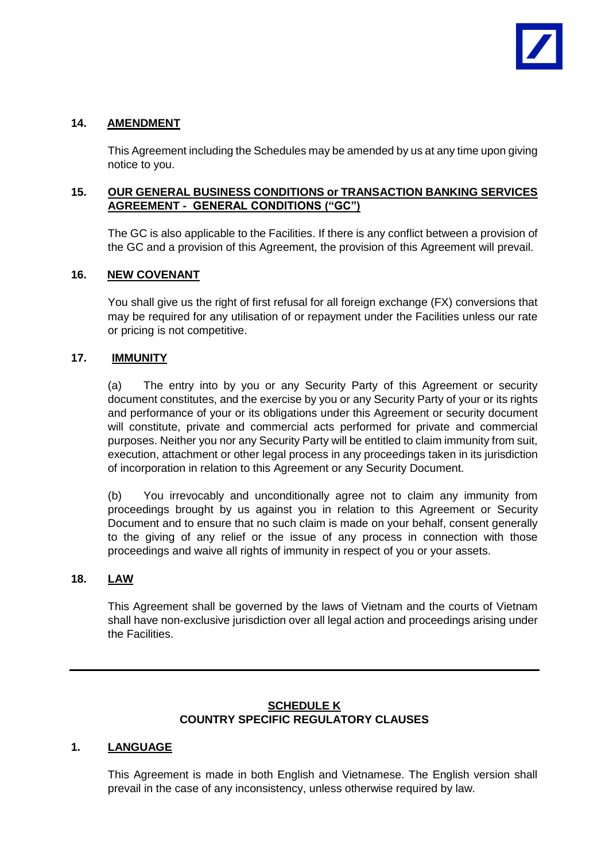# **14. AMENDMENT**

This Agreement including the Schedules may be amended by us at any time upon giving notice to you.

# **15. OUR GENERAL BUSINESS CONDITIONS or TRANSACTION BANKING SERVICES AGREEMENT - GENERAL CONDITIONS ("GC")**

The GC is also applicable to the Facilities. If there is any conflict between a provision of the GC and a provision of this Agreement, the provision of this Agreement will prevail.

# **16. NEW COVENANT**

You shall give us the right of first refusal for all foreign exchange (FX) conversions that may be required for any utilisation of or repayment under the Facilities unless our rate or pricing is not competitive.

# **17. IMMUNITY**

(a) The entry into by you or any Security Party of this Agreement or security document constitutes, and the exercise by you or any Security Party of your or its rights and performance of your or its obligations under this Agreement or security document will constitute, private and commercial acts performed for private and commercial purposes. Neither you nor any Security Party will be entitled to claim immunity from suit, execution, attachment or other legal process in any proceedings taken in its jurisdiction of incorporation in relation to this Agreement or any Security Document.

(b) You irrevocably and unconditionally agree not to claim any immunity from proceedings brought by us against you in relation to this Agreement or Security Document and to ensure that no such claim is made on your behalf, consent generally to the giving of any relief or the issue of any process in connection with those proceedings and waive all rights of immunity in respect of you or your assets.

# **18. LAW**

This Agreement shall be governed by the laws of Vietnam and the courts of Vietnam shall have non-exclusive jurisdiction over all legal action and proceedings arising under the Facilities.

# **SCHEDULE K COUNTRY SPECIFIC REGULATORY CLAUSES**

# **1. LANGUAGE**

This Agreement is made in both English and Vietnamese. The English version shall prevail in the case of any inconsistency, unless otherwise required by law.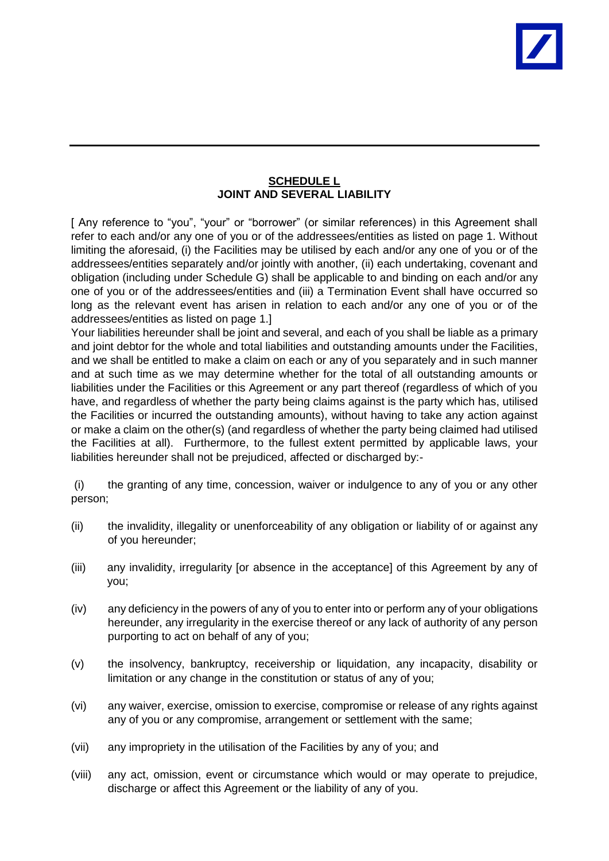## **SCHEDULE L JOINT AND SEVERAL LIABILITY**

[ Any reference to "you", "your" or "borrower" (or similar references) in this Agreement shall refer to each and/or any one of you or of the addressees/entities as listed on page 1. Without limiting the aforesaid, (i) the Facilities may be utilised by each and/or any one of you or of the addressees/entities separately and/or jointly with another, (ii) each undertaking, covenant and obligation (including under Schedule G) shall be applicable to and binding on each and/or any one of you or of the addressees/entities and (iii) a Termination Event shall have occurred so long as the relevant event has arisen in relation to each and/or any one of you or of the addressees/entities as listed on page 1.]

Your liabilities hereunder shall be joint and several, and each of you shall be liable as a primary and joint debtor for the whole and total liabilities and outstanding amounts under the Facilities, and we shall be entitled to make a claim on each or any of you separately and in such manner and at such time as we may determine whether for the total of all outstanding amounts or liabilities under the Facilities or this Agreement or any part thereof (regardless of which of you have, and regardless of whether the party being claims against is the party which has, utilised the Facilities or incurred the outstanding amounts), without having to take any action against or make a claim on the other(s) (and regardless of whether the party being claimed had utilised the Facilities at all). Furthermore, to the fullest extent permitted by applicable laws, your liabilities hereunder shall not be prejudiced, affected or discharged by:-

(i) the granting of any time, concession, waiver or indulgence to any of you or any other person;

- (ii) the invalidity, illegality or unenforceability of any obligation or liability of or against any of you hereunder;
- (iii) any invalidity, irregularity [or absence in the acceptance] of this Agreement by any of you;
- (iv) any deficiency in the powers of any of you to enter into or perform any of your obligations hereunder, any irregularity in the exercise thereof or any lack of authority of any person purporting to act on behalf of any of you;
- (v) the insolvency, bankruptcy, receivership or liquidation, any incapacity, disability or limitation or any change in the constitution or status of any of you;
- (vi) any waiver, exercise, omission to exercise, compromise or release of any rights against any of you or any compromise, arrangement or settlement with the same;
- (vii) any impropriety in the utilisation of the Facilities by any of you; and
- (viii) any act, omission, event or circumstance which would or may operate to prejudice, discharge or affect this Agreement or the liability of any of you.